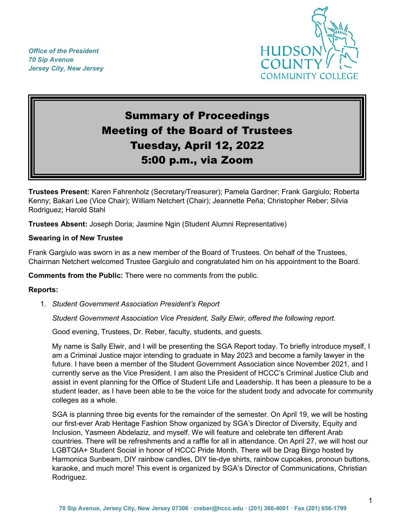*Office of the President 70 Sip Avenue Jersey City, New Jersey*



# Summary of Proceedings Meeting of the Board of Trustees Tuesday, April 12, 2022 5:00 p.m., via Zoom

**Trustees Present:** Karen Fahrenholz (Secretary/Treasurer); Pamela Gardner; Frank Gargiulo; Roberta Kenny; Bakari Lee (Vice Chair); William Netchert (Chair); Jeannette Peña; Christopher Reber; Silvia Rodriguez; Harold Stahl

**Trustees Absent:** Joseph Doria; Jasmine Ngin (Student Alumni Representative)

### **Swearing in of New Trustee**

Frank Gargiulo was sworn in as a new member of the Board of Trustees. On behalf of the Trustees, Chairman Netchert welcomed Trustee Gargiulo and congratulated him on his appointment to the Board.

**Comments from the Public:** There were no comments from the public.

#### **Reports:**

1. *Student Government Association President's Report*

*Student Government Association Vice President, Sally Elwir, offered the following report.*

Good evening, Trustees, Dr. Reber, faculty, students, and guests.

My name is Sally Elwir, and I will be presenting the SGA Report today. To briefly introduce myself, I am a Criminal Justice major intending to graduate in May 2023 and become a family lawyer in the future. I have been a member of the Student Government Association since November 2021, and I currently serve as the Vice President. I am also the President of HCCC's Criminal Justice Club and assist in event planning for the Office of Student Life and Leadership. It has been a pleasure to be a student leader, as I have been able to be the voice for the student body and advocate for community colleges as a whole.

SGA is planning three big events for the remainder of the semester. On April 19, we will be hosting our first-ever Arab Heritage Fashion Show organized by SGA's Director of Diversity, Equity and Inclusion, Yasmeen Abdelaziz, and myself. We will feature and celebrate ten different Arab countries. There will be refreshments and a raffle for all in attendance. On April 27, we will host our LGBTQIA+ Student Social in honor of HCCC Pride Month. There will be Drag Bingo hosted by Harmonica Sunbeam, DIY rainbow candles, DIY tie-dye shirts, rainbow cupcakes, pronoun buttons, karaoke, and much more! This event is organized by SGA's Director of Communications, Christian Rodriguez.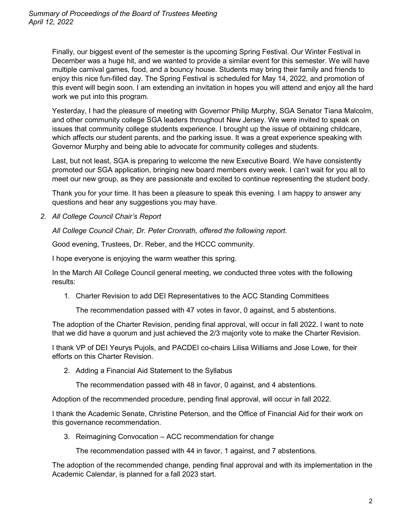Finally, our biggest event of the semester is the upcoming Spring Festival. Our Winter Festival in December was a huge hit, and we wanted to provide a similar event for this semester. We will have multiple carnival games, food, and a bouncy house. Students may bring their family and friends to enjoy this nice fun-filled day. The Spring Festival is scheduled for May 14, 2022, and promotion of this event will begin soon. I am extending an invitation in hopes you will attend and enjoy all the hard work we put into this program.

Yesterday, I had the pleasure of meeting with Governor Philip Murphy, SGA Senator Tiana Malcolm, and other community college SGA leaders throughout New Jersey. We were invited to speak on issues that community college students experience. I brought up the issue of obtaining childcare, which affects our student parents, and the parking issue. It was a great experience speaking with Governor Murphy and being able to advocate for community colleges and students.

Last, but not least, SGA is preparing to welcome the new Executive Board. We have consistently promoted our SGA application, bringing new board members every week. I can't wait for you all to meet our new group, as they are passionate and excited to continue representing the student body.

Thank you for your time. It has been a pleasure to speak this evening. I am happy to answer any questions and hear any suggestions you may have.

*2. All College Council Chair's Report*

*All College Council Chair, Dr. Peter Cronrath, offered the following report.*

Good evening, Trustees, Dr. Reber, and the HCCC community.

I hope everyone is enjoying the warm weather this spring.

In the March All College Council general meeting, we conducted three votes with the following results:

1. Charter Revision to add DEI Representatives to the ACC Standing Committees

The recommendation passed with 47 votes in favor, 0 against, and 5 abstentions.

The adoption of the Charter Revision, pending final approval, will occur in fall 2022. I want to note that we did have a quorum and just achieved the 2/3 majority vote to make the Charter Revision.

I thank VP of DEI Yeurys Pujols, and PACDEI co-chairs Lilisa Williams and Jose Lowe, for their efforts on this Charter Revision.

2. Adding a Financial Aid Statement to the Syllabus

The recommendation passed with 48 in favor, 0 against, and 4 abstentions.

Adoption of the recommended procedure, pending final approval, will occur in fall 2022.

I thank the Academic Senate, Christine Peterson, and the Office of Financial Aid for their work on this governance recommendation.

3. Reimagining Convocation – ACC recommendation for change

The recommendation passed with 44 in favor, 1 against, and 7 abstentions.

The adoption of the recommended change, pending final approval and with its implementation in the Academic Calendar, is planned for a fall 2023 start.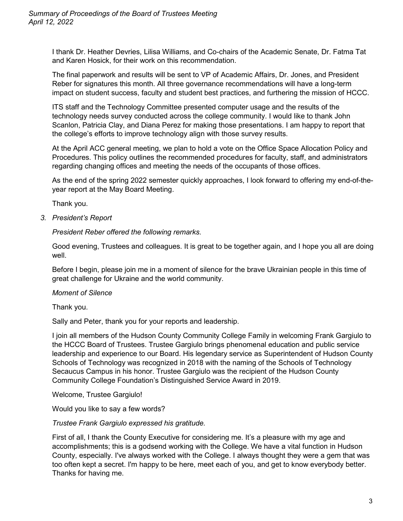I thank Dr. Heather Devries, Lilisa Williams, and Co-chairs of the Academic Senate, Dr. Fatma Tat and Karen Hosick, for their work on this recommendation.

The final paperwork and results will be sent to VP of Academic Affairs, Dr. Jones, and President Reber for signatures this month. All three governance recommendations will have a long-term impact on student success, faculty and student best practices, and furthering the mission of HCCC.

ITS staff and the Technology Committee presented computer usage and the results of the technology needs survey conducted across the college community. I would like to thank John Scanlon, Patricia Clay, and Diana Perez for making those presentations. I am happy to report that the college's efforts to improve technology align with those survey results.

At the April ACC general meeting, we plan to hold a vote on the Office Space Allocation Policy and Procedures. This policy outlines the recommended procedures for faculty, staff, and administrators regarding changing offices and meeting the needs of the occupants of those offices.

As the end of the spring 2022 semester quickly approaches, I look forward to offering my end-of-theyear report at the May Board Meeting.

Thank you.

*3. President's Report*

*President Reber offered the following remarks.*

Good evening, Trustees and colleagues. It is great to be together again, and I hope you all are doing well.

Before I begin, please join me in a moment of silence for the brave Ukrainian people in this time of great challenge for Ukraine and the world community.

### *Moment of Silence*

Thank you.

Sally and Peter, thank you for your reports and leadership.

I join all members of the Hudson County Community College Family in welcoming Frank Gargiulo to the HCCC Board of Trustees. Trustee Gargiulo brings phenomenal education and public service leadership and experience to our Board. His legendary service as Superintendent of Hudson County Schools of Technology was recognized in 2018 with the naming of the Schools of Technology Secaucus Campus in his honor. Trustee Gargiulo was the recipient of the Hudson County Community College Foundation's Distinguished Service Award in 2019.

Welcome, Trustee Gargiulo!

Would you like to say a few words?

### *Trustee Frank Gargiulo expressed his gratitude.*

First of all, I thank the County Executive for considering me. It's a pleasure with my age and accomplishments; this is a godsend working with the College. We have a vital function in Hudson County, especially. I've always worked with the College. I always thought they were a gem that was too often kept a secret. I'm happy to be here, meet each of you, and get to know everybody better. Thanks for having me.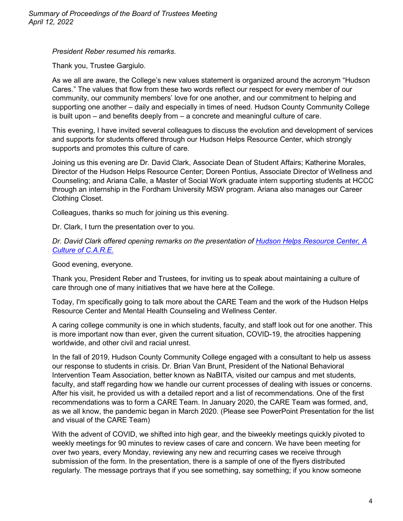*President Reber resumed his remarks.*

Thank you, Trustee Gargiulo.

As we all are aware, the College's new values statement is organized around the acronym "Hudson Cares." The values that flow from these two words reflect our respect for every member of our community, our community members' love for one another, and our commitment to helping and supporting one another – daily and especially in times of need. Hudson County Community College is built upon – and benefits deeply from – a concrete and meaningful culture of care.

This evening, I have invited several colleagues to discuss the evolution and development of services and supports for students offered through our Hudson Helps Resource Center, which strongly supports and promotes this culture of care.

Joining us this evening are Dr. David Clark, Associate Dean of Student Affairs; Katherine Morales, Director of the Hudson Helps Resource Center; Doreen Pontius, Associate Director of Wellness and Counseling; and Ariana Calle, a Master of Social Work graduate intern supporting students at HCCC through an internship in the Fordham University MSW program. Ariana also manages our Career Clothing Closet.

Colleagues, thanks so much for joining us this evening.

Dr. Clark, I turn the presentation over to you.

*Dr. David Clark offered opening remarks on the presentation of [Hudson Helps Resource Center, A](https://www.hccc.edu/bot/care-team-final-2.pdf)  [Culture of C.A.R.E.](https://www.hccc.edu/bot/care-team-final-2.pdf)*

Good evening, everyone.

Thank you, President Reber and Trustees, for inviting us to speak about maintaining a culture of care through one of many initiatives that we have here at the College.

Today, I'm specifically going to talk more about the CARE Team and the work of the Hudson Helps Resource Center and Mental Health Counseling and Wellness Center.

A caring college community is one in which students, faculty, and staff look out for one another. This is more important now than ever, given the current situation, COVID-19, the atrocities happening worldwide, and other civil and racial unrest.

In the fall of 2019, Hudson County Community College engaged with a consultant to help us assess our response to students in crisis. Dr. Brian Van Brunt, President of the National Behavioral Intervention Team Association, better known as NaBITA, visited our campus and met students, faculty, and staff regarding how we handle our current processes of dealing with issues or concerns. After his visit, he provided us with a detailed report and a list of recommendations. One of the first recommendations was to form a CARE Team. In January 2020, the CARE Team was formed, and, as we all know, the pandemic began in March 2020. (Please see PowerPoint Presentation for the list and visual of the CARE Team)

With the advent of COVID, we shifted into high gear, and the biweekly meetings quickly pivoted to weekly meetings for 90 minutes to review cases of care and concern. We have been meeting for over two years, every Monday, reviewing any new and recurring cases we receive through submission of the form. In the presentation, there is a sample of one of the flyers distributed regularly. The message portrays that if you see something, say something; if you know someone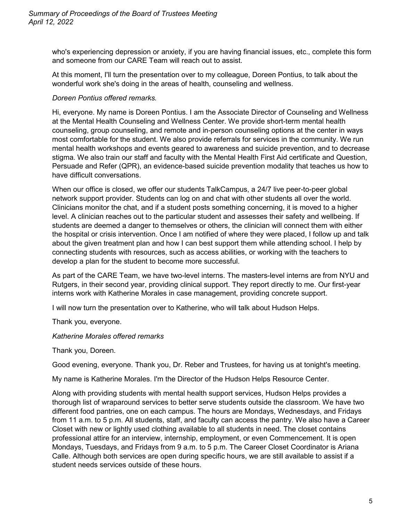who's experiencing depression or anxiety, if you are having financial issues, etc., complete this form and someone from our CARE Team will reach out to assist.

At this moment, I'll turn the presentation over to my colleague, Doreen Pontius, to talk about the wonderful work she's doing in the areas of health, counseling and wellness.

## *Doreen Pontius offered remarks.*

Hi, everyone. My name is Doreen Pontius. I am the Associate Director of Counseling and Wellness at the Mental Health Counseling and Wellness Center. We provide short-term mental health counseling, group counseling, and remote and in-person counseling options at the center in ways most comfortable for the student. We also provide referrals for services in the community. We run mental health workshops and events geared to awareness and suicide prevention, and to decrease stigma. We also train our staff and faculty with the Mental Health First Aid certificate and Question, Persuade and Refer (QPR), an evidence-based suicide prevention modality that teaches us how to have difficult conversations.

When our office is closed, we offer our students TalkCampus, a 24/7 live peer-to-peer global network support provider. Students can log on and chat with other students all over the world. Clinicians monitor the chat, and if a student posts something concerning, it is moved to a higher level. A clinician reaches out to the particular student and assesses their safety and wellbeing. If students are deemed a danger to themselves or others, the clinician will connect them with either the hospital or crisis intervention. Once I am notified of where they were placed, I follow up and talk about the given treatment plan and how I can best support them while attending school. I help by connecting students with resources, such as access abilities, or working with the teachers to develop a plan for the student to become more successful.

As part of the CARE Team, we have two-level interns. The masters-level interns are from NYU and Rutgers, in their second year, providing clinical support. They report directly to me. Our first-year interns work with Katherine Morales in case management, providing concrete support.

I will now turn the presentation over to Katherine, who will talk about Hudson Helps.

Thank you, everyone.

*Katherine Morales offered remarks*

Thank you, Doreen.

Good evening, everyone. Thank you, Dr. Reber and Trustees, for having us at tonight's meeting.

My name is Katherine Morales. I'm the Director of the Hudson Helps Resource Center.

Along with providing students with mental health support services, Hudson Helps provides a thorough list of wraparound services to better serve students outside the classroom. We have two different food pantries, one on each campus. The hours are Mondays, Wednesdays, and Fridays from 11 a.m. to 5 p.m. All students, staff, and faculty can access the pantry. We also have a Career Closet with new or lightly used clothing available to all students in need. The closet contains professional attire for an interview, internship, employment, or even Commencement. It is open Mondays, Tuesdays, and Fridays from 9 a.m. to 5 p.m. The Career Closet Coordinator is Ariana Calle. Although both services are open during specific hours, we are still available to assist if a student needs services outside of these hours.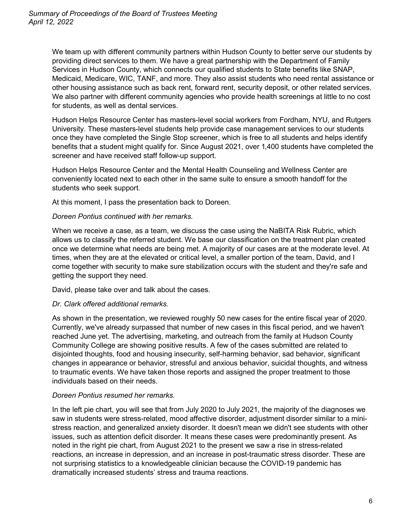We team up with different community partners within Hudson County to better serve our students by providing direct services to them. We have a great partnership with the Department of Family Services in Hudson County, which connects our qualified students to State benefits like SNAP, Medicaid, Medicare, WIC, TANF, and more. They also assist students who need rental assistance or other housing assistance such as back rent, forward rent, security deposit, or other related services. We also partner with different community agencies who provide health screenings at little to no cost for students, as well as dental services.

Hudson Helps Resource Center has masters-level social workers from Fordham, NYU, and Rutgers University. These masters-level students help provide case management services to our students once they have completed the Single Stop screener, which is free to all students and helps identify benefits that a student might qualify for. Since August 2021, over 1,400 students have completed the screener and have received staff follow-up support.

Hudson Helps Resource Center and the Mental Health Counseling and Wellness Center are conveniently located next to each other in the same suite to ensure a smooth handoff for the students who seek support.

At this moment, I pass the presentation back to Doreen.

#### *Doreen Pontius continued with her remarks.*

When we receive a case, as a team, we discuss the case using the NaBITA Risk Rubric, which allows us to classify the referred student. We base our classification on the treatment plan created once we determine what needs are being met. A majority of our cases are at the moderate level. At times, when they are at the elevated or critical level, a smaller portion of the team, David, and I come together with security to make sure stabilization occurs with the student and they're safe and getting the support they need.

David, please take over and talk about the cases.

### *Dr. Clark offered additional remarks.*

As shown in the presentation, we reviewed roughly 50 new cases for the entire fiscal year of 2020. Currently, we've already surpassed that number of new cases in this fiscal period, and we haven't reached June yet. The advertising, marketing, and outreach from the family at Hudson County Community College are showing positive results. A few of the cases submitted are related to disjointed thoughts, food and housing insecurity, self-harming behavior, sad behavior, significant changes in appearance or behavior, stressful and anxious behavior, suicidal thoughts, and witness to traumatic events. We have taken those reports and assigned the proper treatment to those individuals based on their needs.

### *Doreen Pontius resumed her remarks.*

In the left pie chart, you will see that from July 2020 to July 2021, the majority of the diagnoses we saw in students were stress-related, mood affective disorder, adjustment disorder similar to a ministress reaction, and generalized anxiety disorder. It doesn't mean we didn't see students with other issues, such as attention deficit disorder. It means these cases were predominantly present. As noted in the right pie chart, from August 2021 to the present we saw a rise in stress-related reactions, an increase in depression, and an increase in post-traumatic stress disorder. These are not surprising statistics to a knowledgeable clinician because the COVID-19 pandemic has dramatically increased students' stress and trauma reactions.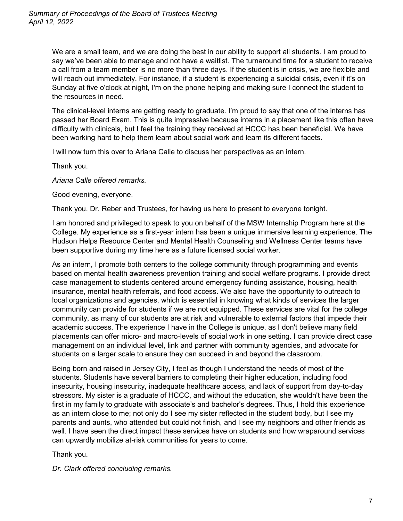We are a small team, and we are doing the best in our ability to support all students. I am proud to say we've been able to manage and not have a waitlist. The turnaround time for a student to receive a call from a team member is no more than three days. If the student is in crisis, we are flexible and will reach out immediately. For instance, if a student is experiencing a suicidal crisis, even if it's on Sunday at five o'clock at night, I'm on the phone helping and making sure I connect the student to the resources in need.

The clinical-level interns are getting ready to graduate. I'm proud to say that one of the interns has passed her Board Exam. This is quite impressive because interns in a placement like this often have difficulty with clinicals, but I feel the training they received at HCCC has been beneficial. We have been working hard to help them learn about social work and learn its different facets.

I will now turn this over to Ariana Calle to discuss her perspectives as an intern.

Thank you.

*Ariana Calle offered remarks.*

Good evening, everyone.

Thank you, Dr. Reber and Trustees, for having us here to present to everyone tonight.

I am honored and privileged to speak to you on behalf of the MSW Internship Program here at the College. My experience as a first-year intern has been a unique immersive learning experience. The Hudson Helps Resource Center and Mental Health Counseling and Wellness Center teams have been supportive during my time here as a future licensed social worker.

As an intern, I promote both centers to the college community through programming and events based on mental health awareness prevention training and social welfare programs. I provide direct case management to students centered around emergency funding assistance, housing, health insurance, mental health referrals, and food access. We also have the opportunity to outreach to local organizations and agencies, which is essential in knowing what kinds of services the larger community can provide for students if we are not equipped. These services are vital for the college community, as many of our students are at risk and vulnerable to external factors that impede their academic success. The experience I have in the College is unique, as I don't believe many field placements can offer micro- and macro-levels of social work in one setting. I can provide direct case management on an individual level, link and partner with community agencies, and advocate for students on a larger scale to ensure they can succeed in and beyond the classroom.

Being born and raised in Jersey City, I feel as though I understand the needs of most of the students. Students have several barriers to completing their higher education, including food insecurity, housing insecurity, inadequate healthcare access, and lack of support from day-to-day stressors. My sister is a graduate of HCCC, and without the education, she wouldn't have been the first in my family to graduate with associate's and bachelor's degrees. Thus, I hold this experience as an intern close to me; not only do I see my sister reflected in the student body, but I see my parents and aunts, who attended but could not finish, and I see my neighbors and other friends as well. I have seen the direct impact these services have on students and how wraparound services can upwardly mobilize at-risk communities for years to come.

Thank you.

*Dr. Clark offered concluding remarks.*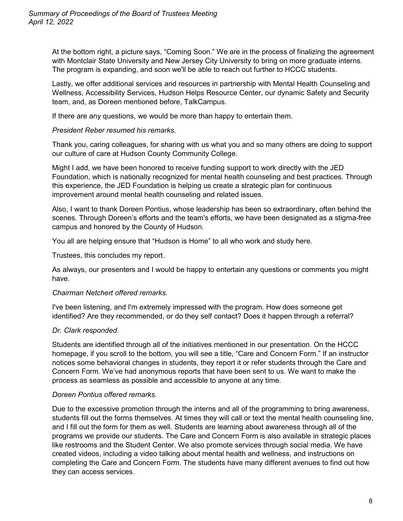At the bottom right, a picture says, "Coming Soon." We are in the process of finalizing the agreement with Montclair State University and New Jersey City University to bring on more graduate interns. The program is expanding, and soon we'll be able to reach out further to HCCC students.

Lastly, we offer additional services and resources in partnership with Mental Health Counseling and Wellness, Accessibility Services, Hudson Helps Resource Center, our dynamic Safety and Security team, and, as Doreen mentioned before, TalkCampus.

If there are any questions, we would be more than happy to entertain them.

### *President Reber resumed his remarks.*

Thank you, caring colleagues, for sharing with us what you and so many others are doing to support our culture of care at Hudson County Community College.

Might I add, we have been honored to receive funding support to work directly with the JED Foundation, which is nationally recognized for mental health counseling and best practices. Through this experience, the JED Foundation is helping us create a strategic plan for continuous improvement around mental health counseling and related issues.

Also, I want to thank Doreen Pontius, whose leadership has been so extraordinary, often behind the scenes. Through Doreen's efforts and the team's efforts, we have been designated as a stigma-free campus and honored by the County of Hudson.

You all are helping ensure that "Hudson is Home" to all who work and study here.

Trustees, this concludes my report.

As always, our presenters and I would be happy to entertain any questions or comments you might have.

### *Chairman Netchert offered remarks.*

I've been listening, and I'm extremely impressed with the program. How does someone get identified? Are they recommended, or do they self contact? Does it happen through a referral?

### *Dr. Clark responded.*

Students are identified through all of the initiatives mentioned in our presentation. On the HCCC homepage, if you scroll to the bottom, you will see a title, "Care and Concern Form." If an instructor notices some behavioral changes in students, they report it or refer students through the Care and Concern Form. We've had anonymous reports that have been sent to us. We want to make the process as seamless as possible and accessible to anyone at any time.

### *Doreen Pontius offered remarks.*

Due to the excessive promotion through the interns and all of the programming to bring awareness, students fill out the forms themselves. At times they will call or text the mental health counseling line, and I fill out the form for them as well. Students are learning about awareness through all of the programs we provide our students. The Care and Concern Form is also available in strategic places like restrooms and the Student Center. We also promote services through social media. We have created videos, including a video talking about mental health and wellness, and instructions on completing the Care and Concern Form. The students have many different avenues to find out how they can access services.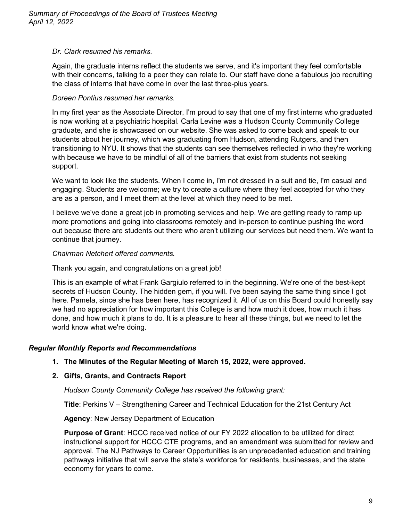## *Dr. Clark resumed his remarks.*

Again, the graduate interns reflect the students we serve, and it's important they feel comfortable with their concerns, talking to a peer they can relate to. Our staff have done a fabulous job recruiting the class of interns that have come in over the last three-plus years.

# *Doreen Pontius resumed her remarks.*

In my first year as the Associate Director, I'm proud to say that one of my first interns who graduated is now working at a psychiatric hospital. Carla Levine was a Hudson County Community College graduate, and she is showcased on our website. She was asked to come back and speak to our students about her journey, which was graduating from Hudson, attending Rutgers, and then transitioning to NYU. It shows that the students can see themselves reflected in who they're working with because we have to be mindful of all of the barriers that exist from students not seeking support.

We want to look like the students. When I come in, I'm not dressed in a suit and tie, I'm casual and engaging. Students are welcome; we try to create a culture where they feel accepted for who they are as a person, and I meet them at the level at which they need to be met.

I believe we've done a great job in promoting services and help. We are getting ready to ramp up more promotions and going into classrooms remotely and in-person to continue pushing the word out because there are students out there who aren't utilizing our services but need them. We want to continue that journey.

## *Chairman Netchert offered comments.*

Thank you again, and congratulations on a great job!

This is an example of what Frank Gargiulo referred to in the beginning. We're one of the best-kept secrets of Hudson County. The hidden gem, if you will. I've been saying the same thing since I got here. Pamela, since she has been here, has recognized it. All of us on this Board could honestly say we had no appreciation for how important this College is and how much it does, how much it has done, and how much it plans to do. It is a pleasure to hear all these things, but we need to let the world know what we're doing.

# *Regular Monthly Reports and Recommendations*

### **1. The Minutes of the Regular Meeting of March 15, 2022, were approved.**

### **2. Gifts, Grants, and Contracts Report**

*Hudson County Community College has received the following grant:*

**Title**: Perkins V – Strengthening Career and Technical Education for the 21st Century Act

**Agency**: New Jersey Department of Education

**Purpose of Grant**: HCCC received notice of our FY 2022 allocation to be utilized for direct instructional support for HCCC CTE programs, and an amendment was submitted for review and approval. The NJ Pathways to Career Opportunities is an unprecedented education and training pathways initiative that will serve the state's workforce for residents, businesses, and the state economy for years to come.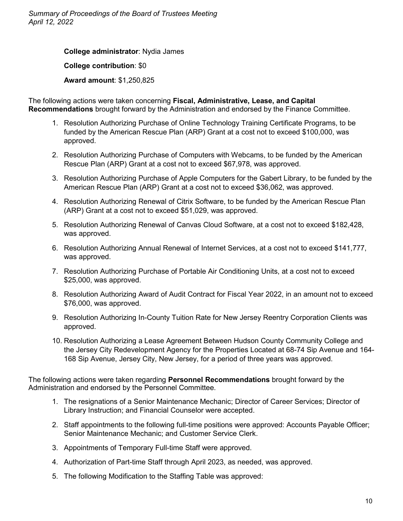**College administrator**: Nydia James

**College contribution**: \$0

**Award amount**: \$1,250,825

The following actions were taken concerning **Fiscal, Administrative, Lease, and Capital Recommendations** brought forward by the Administration and endorsed by the Finance Committee.

- 1. Resolution Authorizing Purchase of Online Technology Training Certificate Programs, to be funded by the American Rescue Plan (ARP) Grant at a cost not to exceed \$100,000, was approved.
- 2. Resolution Authorizing Purchase of Computers with Webcams, to be funded by the American Rescue Plan (ARP) Grant at a cost not to exceed \$67,978, was approved.
- 3. Resolution Authorizing Purchase of Apple Computers for the Gabert Library, to be funded by the American Rescue Plan (ARP) Grant at a cost not to exceed \$36,062, was approved.
- 4. Resolution Authorizing Renewal of Citrix Software, to be funded by the American Rescue Plan (ARP) Grant at a cost not to exceed \$51,029, was approved.
- 5. Resolution Authorizing Renewal of Canvas Cloud Software, at a cost not to exceed \$182,428, was approved.
- 6. Resolution Authorizing Annual Renewal of Internet Services, at a cost not to exceed \$141,777, was approved.
- 7. Resolution Authorizing Purchase of Portable Air Conditioning Units, at a cost not to exceed \$25,000, was approved.
- 8. Resolution Authorizing Award of Audit Contract for Fiscal Year 2022, in an amount not to exceed \$76,000, was approved.
- 9. Resolution Authorizing In-County Tuition Rate for New Jersey Reentry Corporation Clients was approved.
- 10. Resolution Authorizing a Lease Agreement Between Hudson County Community College and the Jersey City Redevelopment Agency for the Properties Located at 68-74 Sip Avenue and 164- 168 Sip Avenue, Jersey City, New Jersey, for a period of three years was approved.

The following actions were taken regarding **Personnel Recommendations** brought forward by the Administration and endorsed by the Personnel Committee.

- 1. The resignations of a Senior Maintenance Mechanic; Director of Career Services; Director of Library Instruction; and Financial Counselor were accepted.
- 2. Staff appointments to the following full-time positions were approved: Accounts Payable Officer; Senior Maintenance Mechanic; and Customer Service Clerk.
- 3. Appointments of Temporary Full-time Staff were approved.
- 4. Authorization of Part-time Staff through April 2023, as needed, was approved.
- 5. The following Modification to the Staffing Table was approved: